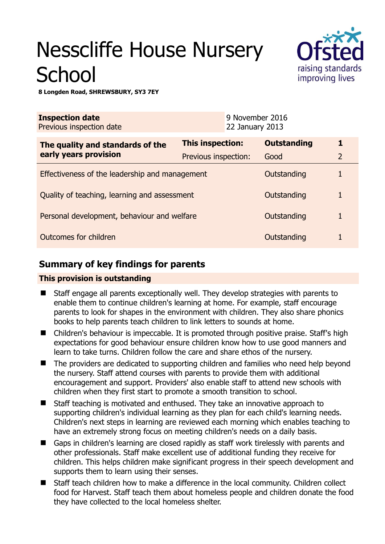# Nesscliffe House Nursery **School**



**8 Longden Road, SHREWSBURY, SY3 7EY** 

| <b>Inspection date</b><br>Previous inspection date        |                         | 9 November 2016<br>22 January 2013 |                    |                |
|-----------------------------------------------------------|-------------------------|------------------------------------|--------------------|----------------|
| The quality and standards of the<br>early years provision | <b>This inspection:</b> |                                    | <b>Outstanding</b> | 1              |
|                                                           | Previous inspection:    |                                    | Good               | $\overline{2}$ |
| Effectiveness of the leadership and management            |                         |                                    | Outstanding        |                |
| Quality of teaching, learning and assessment              |                         |                                    | Outstanding        |                |
| Personal development, behaviour and welfare               |                         |                                    | Outstanding        |                |
| <b>Outcomes for children</b>                              |                         |                                    | Outstanding        |                |

# **Summary of key findings for parents**

## **This provision is outstanding**

- Staff engage all parents exceptionally well. They develop strategies with parents to enable them to continue children's learning at home. For example, staff encourage parents to look for shapes in the environment with children. They also share phonics books to help parents teach children to link letters to sounds at home.
- Children's behaviour is impeccable. It is promoted through positive praise. Staff's high expectations for good behaviour ensure children know how to use good manners and learn to take turns. Children follow the care and share ethos of the nursery.
- The providers are dedicated to supporting children and families who need help beyond the nursery. Staff attend courses with parents to provide them with additional encouragement and support. Providers' also enable staff to attend new schools with children when they first start to promote a smooth transition to school.
- Staff teaching is motivated and enthused. They take an innovative approach to supporting children's individual learning as they plan for each child's learning needs. Children's next steps in learning are reviewed each morning which enables teaching to have an extremely strong focus on meeting children's needs on a daily basis.
- Gaps in children's learning are closed rapidly as staff work tirelessly with parents and other professionals. Staff make excellent use of additional funding they receive for children. This helps children make significant progress in their speech development and supports them to learn using their senses.
- Staff teach children how to make a difference in the local community. Children collect food for Harvest. Staff teach them about homeless people and children donate the food they have collected to the local homeless shelter.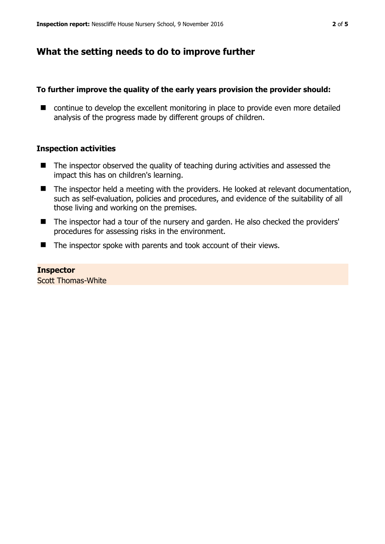# **What the setting needs to do to improve further**

## **To further improve the quality of the early years provision the provider should:**

■ continue to develop the excellent monitoring in place to provide even more detailed analysis of the progress made by different groups of children.

## **Inspection activities**

- $\blacksquare$  The inspector observed the quality of teaching during activities and assessed the impact this has on children's learning.
- The inspector held a meeting with the providers. He looked at relevant documentation, such as self-evaluation, policies and procedures, and evidence of the suitability of all those living and working on the premises.
- The inspector had a tour of the nursery and garden. He also checked the providers' procedures for assessing risks in the environment.
- The inspector spoke with parents and took account of their views.

#### **Inspector**  Scott Thomas-White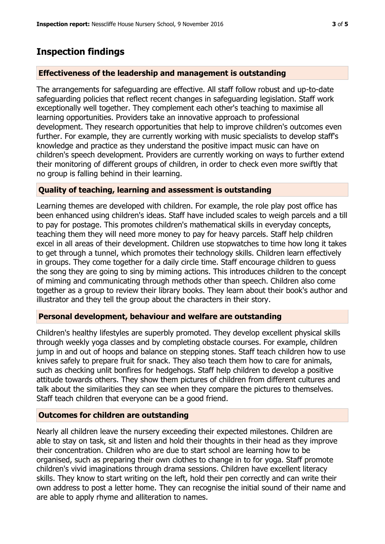# **Inspection findings**

## **Effectiveness of the leadership and management is outstanding**

The arrangements for safeguarding are effective. All staff follow robust and up-to-date safeguarding policies that reflect recent changes in safeguarding legislation. Staff work exceptionally well together. They complement each other's teaching to maximise all learning opportunities. Providers take an innovative approach to professional development. They research opportunities that help to improve children's outcomes even further. For example, they are currently working with music specialists to develop staff's knowledge and practice as they understand the positive impact music can have on children's speech development. Providers are currently working on ways to further extend their monitoring of different groups of children, in order to check even more swiftly that no group is falling behind in their learning.

## **Quality of teaching, learning and assessment is outstanding**

Learning themes are developed with children. For example, the role play post office has been enhanced using children's ideas. Staff have included scales to weigh parcels and a till to pay for postage. This promotes children's mathematical skills in everyday concepts, teaching them they will need more money to pay for heavy parcels. Staff help children excel in all areas of their development. Children use stopwatches to time how long it takes to get through a tunnel, which promotes their technology skills. Children learn effectively in groups. They come together for a daily circle time. Staff encourage children to guess the song they are going to sing by miming actions. This introduces children to the concept of miming and communicating through methods other than speech. Children also come together as a group to review their library books. They learn about their book's author and illustrator and they tell the group about the characters in their story.

### **Personal development, behaviour and welfare are outstanding**

Children's healthy lifestyles are superbly promoted. They develop excellent physical skills through weekly yoga classes and by completing obstacle courses. For example, children jump in and out of hoops and balance on stepping stones. Staff teach children how to use knives safely to prepare fruit for snack. They also teach them how to care for animals, such as checking unlit bonfires for hedgehogs. Staff help children to develop a positive attitude towards others. They show them pictures of children from different cultures and talk about the similarities they can see when they compare the pictures to themselves. Staff teach children that everyone can be a good friend.

## **Outcomes for children are outstanding**

Nearly all children leave the nursery exceeding their expected milestones. Children are able to stay on task, sit and listen and hold their thoughts in their head as they improve their concentration. Children who are due to start school are learning how to be organised, such as preparing their own clothes to change in to for yoga. Staff promote children's vivid imaginations through drama sessions. Children have excellent literacy skills. They know to start writing on the left, hold their pen correctly and can write their own address to post a letter home. They can recognise the initial sound of their name and are able to apply rhyme and alliteration to names.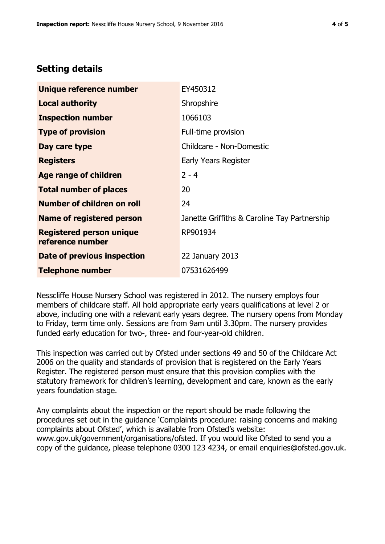## **Setting details**

| Unique reference number                             | EY450312                                     |  |  |
|-----------------------------------------------------|----------------------------------------------|--|--|
| <b>Local authority</b>                              | Shropshire                                   |  |  |
| <b>Inspection number</b>                            | 1066103                                      |  |  |
| <b>Type of provision</b>                            | Full-time provision                          |  |  |
| Day care type                                       | Childcare - Non-Domestic                     |  |  |
| <b>Registers</b>                                    | Early Years Register                         |  |  |
| <b>Age range of children</b>                        | $2 - 4$                                      |  |  |
| <b>Total number of places</b>                       | 20                                           |  |  |
| Number of children on roll                          | 24                                           |  |  |
| Name of registered person                           | Janette Griffiths & Caroline Tay Partnership |  |  |
| <b>Registered person unique</b><br>reference number | RP901934                                     |  |  |
| Date of previous inspection                         | 22 January 2013                              |  |  |
| <b>Telephone number</b>                             | 07531626499                                  |  |  |

Nesscliffe House Nursery School was registered in 2012. The nursery employs four members of childcare staff. All hold appropriate early years qualifications at level 2 or above, including one with a relevant early years degree. The nursery opens from Monday to Friday, term time only. Sessions are from 9am until 3.30pm. The nursery provides funded early education for two-, three- and four-year-old children.

This inspection was carried out by Ofsted under sections 49 and 50 of the Childcare Act 2006 on the quality and standards of provision that is registered on the Early Years Register. The registered person must ensure that this provision complies with the statutory framework for children's learning, development and care, known as the early years foundation stage.

Any complaints about the inspection or the report should be made following the procedures set out in the guidance 'Complaints procedure: raising concerns and making complaints about Ofsted', which is available from Ofsted's website: www.gov.uk/government/organisations/ofsted. If you would like Ofsted to send you a copy of the guidance, please telephone 0300 123 4234, or email enquiries@ofsted.gov.uk.